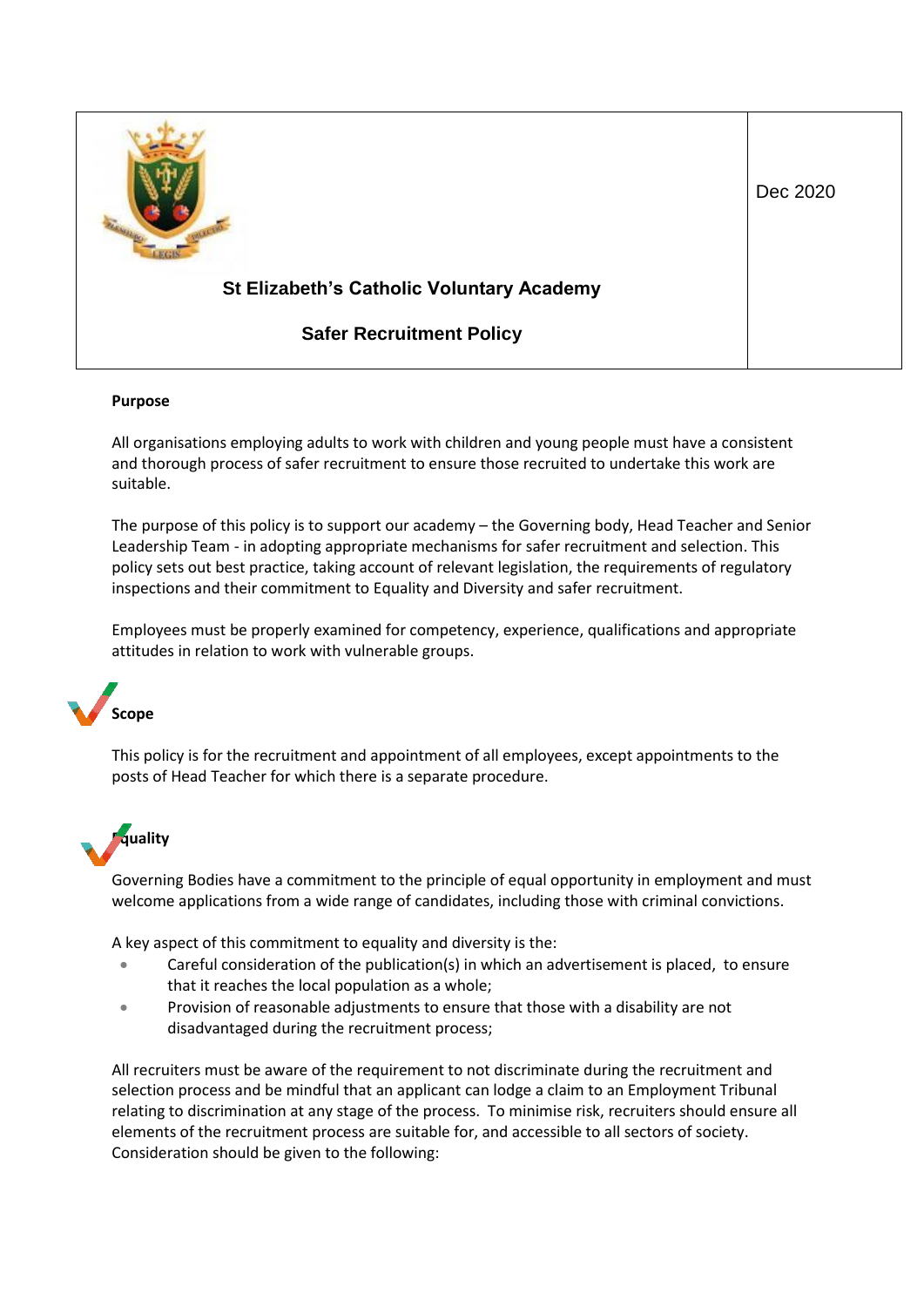

#### **Purpose**

All organisations employing adults to work with children and young people must have a consistent and thorough process of safer recruitment to ensure those recruited to undertake this work are suitable.

The purpose of this policy is to support our academy – the Governing body, Head Teacher and Senior Leadership Team - in adopting appropriate mechanisms for safer recruitment and selection. This policy sets out best practice, taking account of relevant legislation, the requirements of regulatory inspections and their commitment to Equality and Diversity and safer recruitment.

Employees must be properly examined for competency, experience, qualifications and appropriate attitudes in relation to work with vulnerable groups.

### **Scope**

This policy is for the recruitment and appointment of all employees, except appointments to the posts of Head Teacher for which there is a separate procedure.

### **Equality**

Governing Bodies have a commitment to the principle of equal opportunity in employment and must welcome applications from a wide range of candidates, including those with criminal convictions.

A key aspect of this commitment to equality and diversity is the:

- Careful consideration of the publication(s) in which an advertisement is placed, to ensure that it reaches the local population as a whole;
- Provision of reasonable adjustments to ensure that those with a disability are not disadvantaged during the recruitment process;

All recruiters must be aware of the requirement to not discriminate during the recruitment and selection process and be mindful that an applicant can lodge a claim to an Employment Tribunal relating to discrimination at any stage of the process. To minimise risk, recruiters should ensure all elements of the recruitment process are suitable for, and accessible to all sectors of society. Consideration should be given to the following: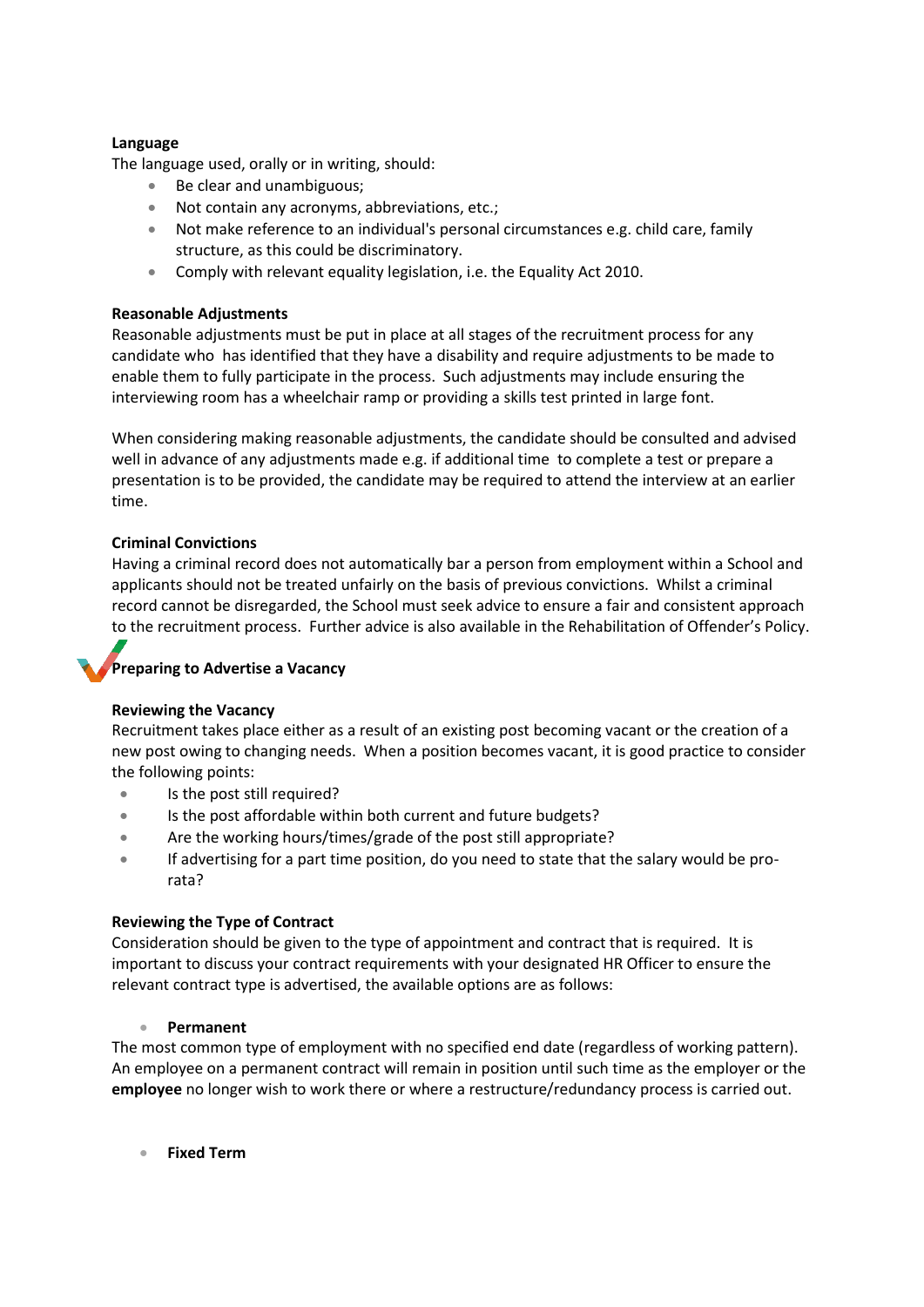#### **Language**

The language used, orally or in writing, should:

- Be clear and unambiguous;
- Not contain any acronyms, abbreviations, etc.;
- Not make reference to an individual's personal circumstances e.g. child care, family structure, as this could be discriminatory.
- Comply with relevant equality legislation, i.e. the Equality Act 2010.

#### **Reasonable Adjustments**

Reasonable adjustments must be put in place at all stages of the recruitment process for any candidate who has identified that they have a disability and require adjustments to be made to enable them to fully participate in the process. Such adjustments may include ensuring the interviewing room has a wheelchair ramp or providing a skills test printed in large font.

When considering making reasonable adjustments, the candidate should be consulted and advised well in advance of any adjustments made e.g. if additional time to complete a test or prepare a presentation is to be provided, the candidate may be required to attend the interview at an earlier time.

#### **Criminal Convictions**

Having a criminal record does not automatically bar a person from employment within a School and applicants should not be treated unfairly on the basis of previous convictions. Whilst a criminal record cannot be disregarded, the School must seek advice to ensure a fair and consistent approach to the recruitment process. Further advice is also available in the Rehabilitation of Offender's Policy.

#### **Preparing to Advertise a Vacancy**

#### **Reviewing the Vacancy**

Recruitment takes place either as a result of an existing post becoming vacant or the creation of a new post owing to changing needs. When a position becomes vacant, it is good practice to consider the following points:

- Is the post still required?
- Is the post affordable within both current and future budgets?
- Are the working hours/times/grade of the post still appropriate?
- If advertising for a part time position, do you need to state that the salary would be prorata?

#### **Reviewing the Type of Contract**

Consideration should be given to the type of appointment and contract that is required. It is important to discuss your contract requirements with your designated HR Officer to ensure the relevant contract type is advertised, the available options are as follows:

#### • **Permanent**

The most common type of employment with no specified end date (regardless of working pattern). An employee on a permanent contract will remain in position until such time as the employer or the **employee** no longer wish to work there or where a restructure/redundancy process is carried out.

• **Fixed Term**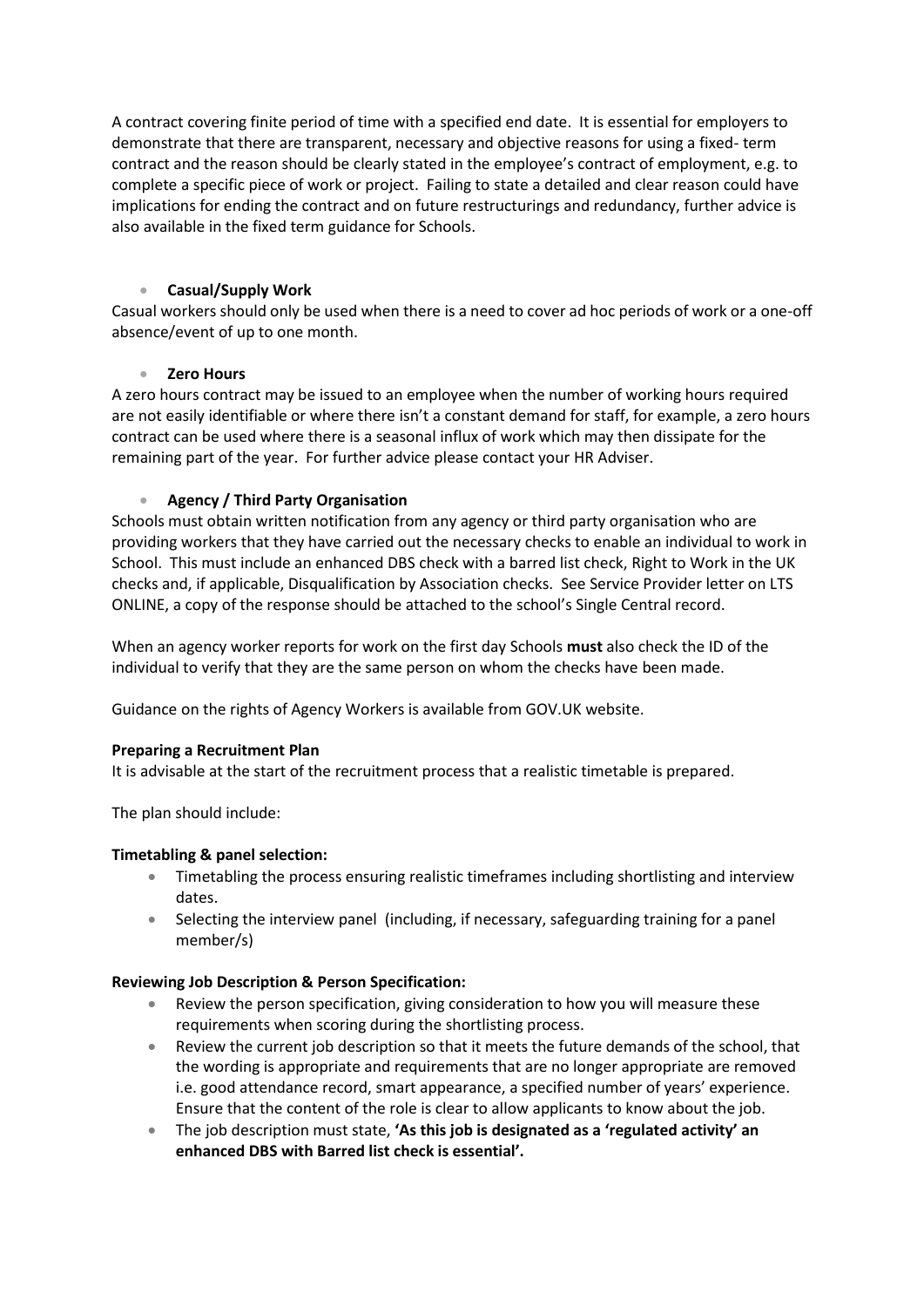A contract covering finite period of time with a specified end date. It is essential for employers to demonstrate that there are transparent, necessary and objective reasons for using a fixed- term contract and the reason should be clearly stated in the employee's contract of employment, e.g. to complete a specific piece of work or project. Failing to state a detailed and clear reason could have implications for ending the contract and on future restructurings and redundancy, further advice is also available in the fixed term guidance for Schools.

#### • **Casual/Supply Work**

Casual workers should only be used when there is a need to cover ad hoc periods of work or a one-off absence/event of up to one month.

#### • **Zero Hours**

A zero hours contract may be issued to an employee when the number of working hours required are not easily identifiable or where there isn't a constant demand for staff, for example, a zero hours contract can be used where there is a seasonal influx of work which may then dissipate for the remaining part of the year. For further advice please contact your HR Adviser.

#### • **Agency / Third Party Organisation**

Schools must obtain written notification from any agency or third party organisation who are providing workers that they have carried out the necessary checks to enable an individual to work in School. This must include an enhanced DBS check with a barred list check, Right to Work in the UK checks and, if applicable, Disqualification by Association checks. See Service Provider letter on LTS ONLINE, a copy of the response should be attached to the school's Single Central record.

When an agency worker reports for work on the first day Schools **must** also check the ID of the individual to verify that they are the same person on whom the checks have been made.

Guidance on the rights of Agency Workers is available from GOV.UK website.

#### **Preparing a Recruitment Plan**

It is advisable at the start of the recruitment process that a realistic timetable is prepared.

The plan should include:

#### **Timetabling & panel selection:**

- Timetabling the process ensuring realistic timeframes including shortlisting and interview dates.
- Selecting the interview panel (including, if necessary, safeguarding training for a panel member/s)

#### **Reviewing Job Description & Person Specification:**

- Review the person specification, giving consideration to how you will measure these requirements when scoring during the shortlisting process.
- Review the current job description so that it meets the future demands of the school, that the wording is appropriate and requirements that are no longer appropriate are removed i.e. good attendance record, smart appearance, a specified number of years' experience. Ensure that the content of the role is clear to allow applicants to know about the job.
- The job description must state, **'As this job is designated as a 'regulated activity' an enhanced DBS with Barred list check is essential'.**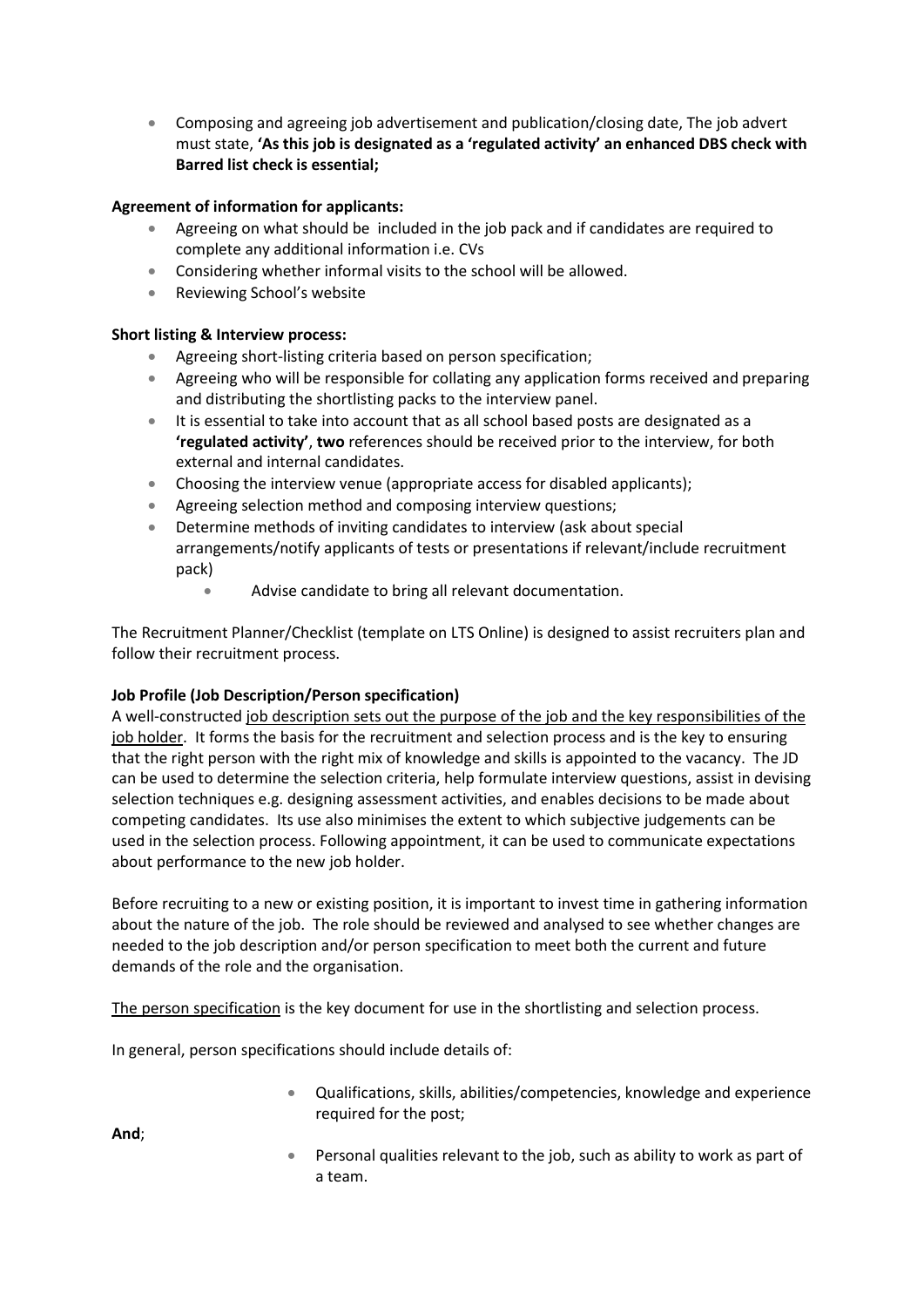• Composing and agreeing job advertisement and publication/closing date, The job advert must state, **'As this job is designated as a 'regulated activity' an enhanced DBS check with Barred list check is essential;**

#### **Agreement of information for applicants:**

- Agreeing on what should be included in the job pack and if candidates are required to complete any additional information i.e. CVs
- Considering whether informal visits to the school will be allowed.
- Reviewing School's website

#### **Short listing & Interview process:**

- Agreeing short-listing criteria based on person specification;
- Agreeing who will be responsible for collating any application forms received and preparing and distributing the shortlisting packs to the interview panel.
- It is essential to take into account that as all school based posts are designated as a **'regulated activity'**, **two** references should be received prior to the interview, for both external and internal candidates.
- Choosing the interview venue (appropriate access for disabled applicants);
- Agreeing selection method and composing interview questions;
- Determine methods of inviting candidates to interview (ask about special arrangements/notify applicants of tests or presentations if relevant/include recruitment pack)
	- Advise candidate to bring all relevant documentation.

The Recruitment Planner/Checklist (template on LTS Online) is designed to assist recruiters plan and follow their recruitment process.

#### **Job Profile (Job Description/Person specification)**

A well-constructed job description sets out the purpose of the job and the key responsibilities of the job holder. It forms the basis for the recruitment and selection process and is the key to ensuring that the right person with the right mix of knowledge and skills is appointed to the vacancy. The JD can be used to determine the selection criteria, help formulate interview questions, assist in devising selection techniques e.g. designing assessment activities, and enables decisions to be made about competing candidates. Its use also minimises the extent to which subjective judgements can be used in the selection process. Following appointment, it can be used to communicate expectations about performance to the new job holder.

Before recruiting to a new or existing position, it is important to invest time in gathering information about the nature of the job. The role should be reviewed and analysed to see whether changes are needed to the job description and/or person specification to meet both the current and future demands of the role and the organisation.

The person specification is the key document for use in the shortlisting and selection process.

In general, person specifications should include details of:

• Qualifications, skills, abilities/competencies, knowledge and experience required for the post;

**And**;

• Personal qualities relevant to the job, such as ability to work as part of a team.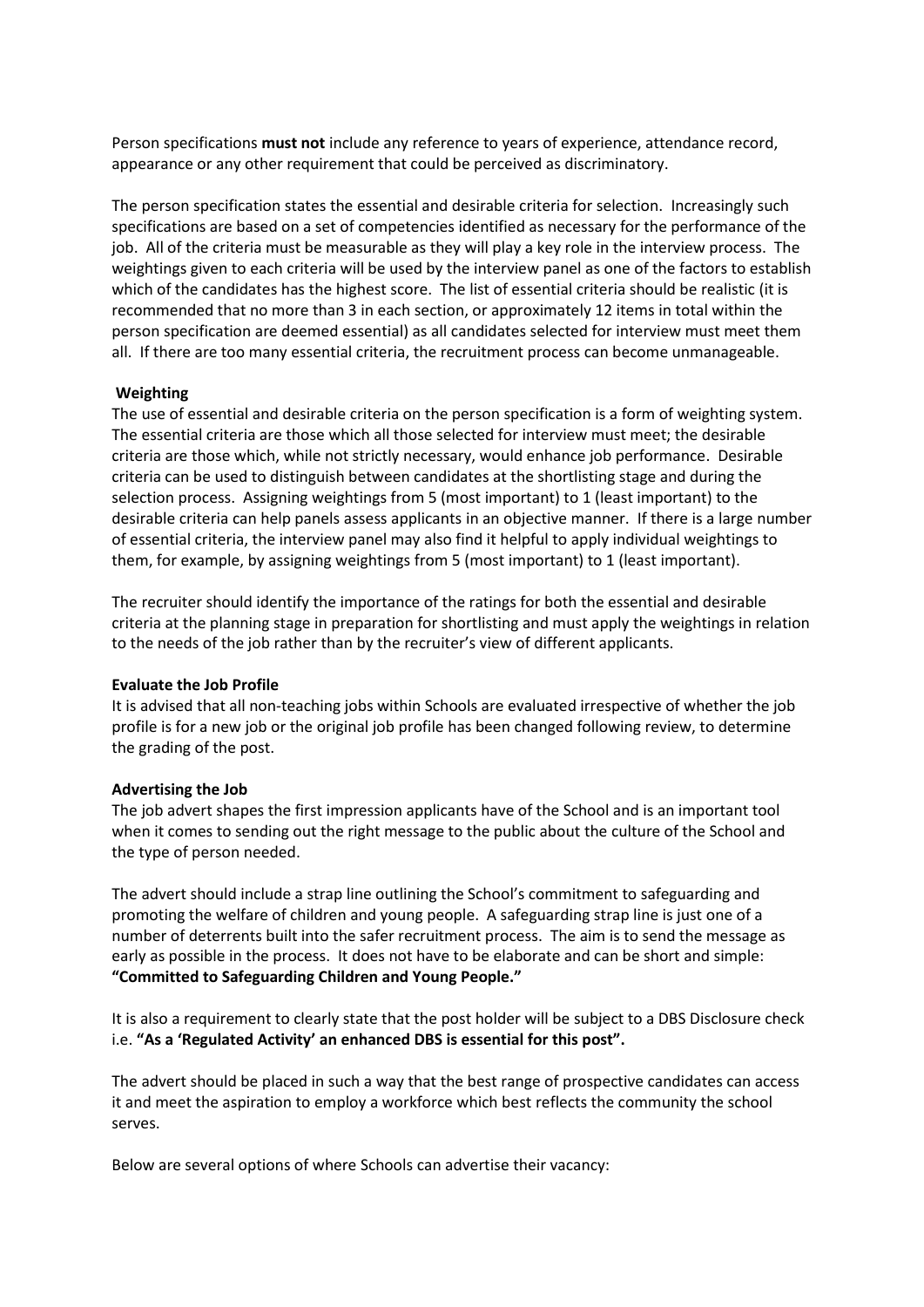Person specifications **must not** include any reference to years of experience, attendance record, appearance or any other requirement that could be perceived as discriminatory.

The person specification states the essential and desirable criteria for selection. Increasingly such specifications are based on a set of competencies identified as necessary for the performance of the job. All of the criteria must be measurable as they will play a key role in the interview process. The weightings given to each criteria will be used by the interview panel as one of the factors to establish which of the candidates has the highest score. The list of essential criteria should be realistic (it is recommended that no more than 3 in each section, or approximately 12 items in total within the person specification are deemed essential) as all candidates selected for interview must meet them all. If there are too many essential criteria, the recruitment process can become unmanageable.

#### **Weighting**

The use of essential and desirable criteria on the person specification is a form of weighting system. The essential criteria are those which all those selected for interview must meet; the desirable criteria are those which, while not strictly necessary, would enhance job performance. Desirable criteria can be used to distinguish between candidates at the shortlisting stage and during the selection process. Assigning weightings from 5 (most important) to 1 (least important) to the desirable criteria can help panels assess applicants in an objective manner. If there is a large number of essential criteria, the interview panel may also find it helpful to apply individual weightings to them, for example, by assigning weightings from 5 (most important) to 1 (least important).

The recruiter should identify the importance of the ratings for both the essential and desirable criteria at the planning stage in preparation for shortlisting and must apply the weightings in relation to the needs of the job rather than by the recruiter's view of different applicants.

#### **Evaluate the Job Profile**

It is advised that all non-teaching jobs within Schools are evaluated irrespective of whether the job profile is for a new job or the original job profile has been changed following review, to determine the grading of the post.

#### **Advertising the Job**

The job advert shapes the first impression applicants have of the School and is an important tool when it comes to sending out the right message to the public about the culture of the School and the type of person needed.

The advert should include a strap line outlining the School's commitment to safeguarding and promoting the welfare of children and young people. A safeguarding strap line is just one of a number of deterrents built into the safer recruitment process. The aim is to send the message as early as possible in the process. It does not have to be elaborate and can be short and simple: **"Committed to Safeguarding Children and Young People."**

It is also a requirement to clearly state that the post holder will be subject to a DBS Disclosure check i.e. **"As a 'Regulated Activity' an enhanced DBS is essential for this post".**

The advert should be placed in such a way that the best range of prospective candidates can access it and meet the aspiration to employ a workforce which best reflects the community the school serves.

Below are several options of where Schools can advertise their vacancy: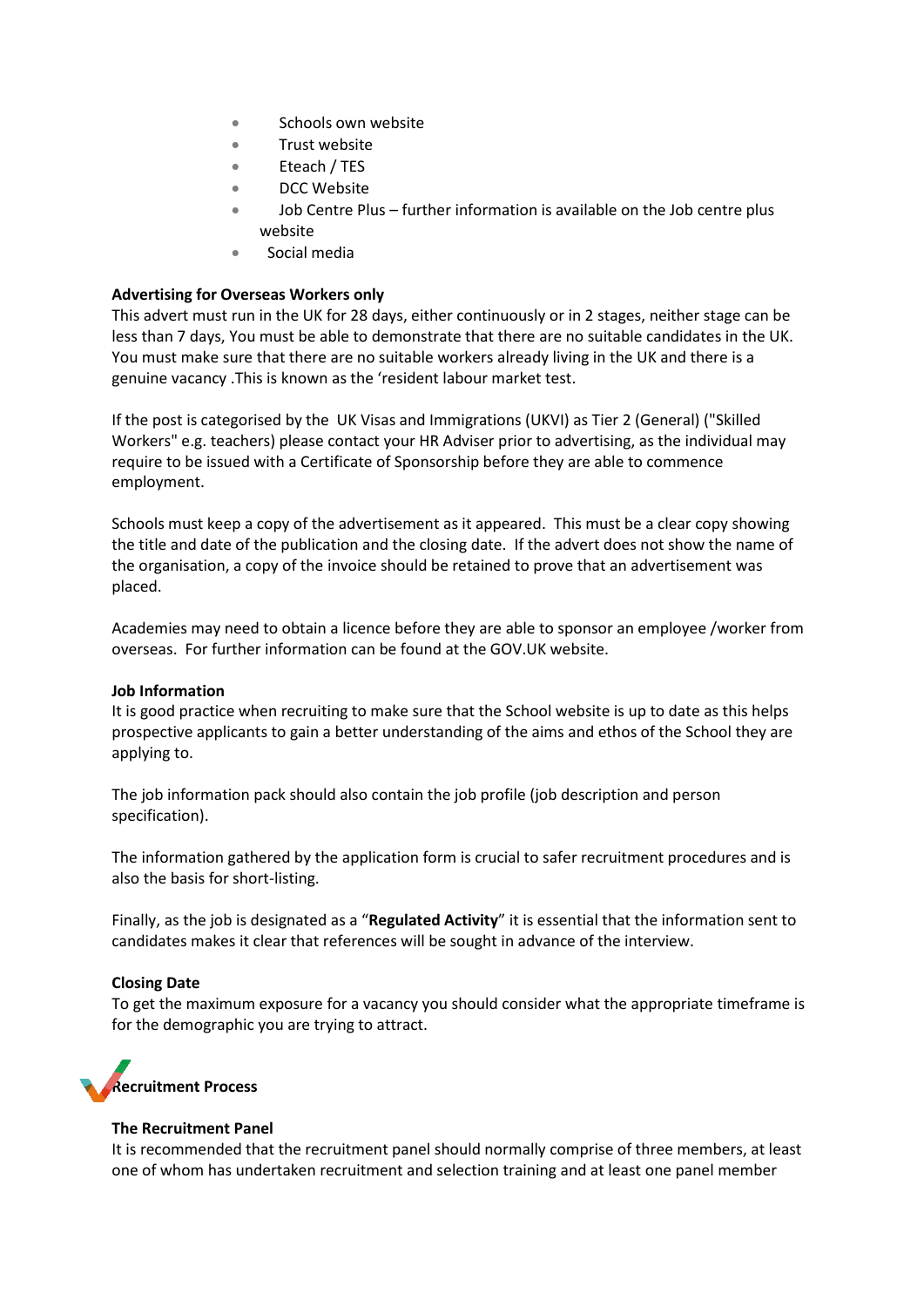- Schools own website
- Trust website
- Eteach / TES
- DCC Website
- Job Centre Plus further information is available on the Job centre plus website
- Social media

#### **Advertising for Overseas Workers only**

This advert must run in the UK for 28 days, either continuously or in 2 stages, neither stage can be less than 7 days, You must be able to demonstrate that there are no suitable candidates in the UK. You must make sure that there are no suitable workers already living in the UK and there is a genuine vacancy .This is known as the 'resident labour market test.

If the post is categorised by the UK Visas and Immigrations (UKVI) as Tier 2 (General) ("Skilled Workers" e.g. teachers) please contact your HR Adviser prior to advertising, as the individual may require to be issued with a Certificate of Sponsorship before they are able to commence employment.

Schools must keep a copy of the advertisement as it appeared. This must be a clear copy showing the title and date of the publication and the closing date. If the advert does not show the name of the organisation, a copy of the invoice should be retained to prove that an advertisement was placed.

Academies may need to obtain a licence before they are able to sponsor an employee /worker from overseas. For further information can be found at the GOV.UK website.

#### **Job Information**

It is good practice when recruiting to make sure that the School website is up to date as this helps prospective applicants to gain a better understanding of the aims and ethos of the School they are applying to.

The job information pack should also contain the job profile (job description and person specification).

The information gathered by the application form is crucial to safer recruitment procedures and is also the basis for short-listing.

Finally, as the job is designated as a "**Regulated Activity**" it is essential that the information sent to candidates makes it clear that references will be sought in advance of the interview.

#### **Closing Date**

To get the maximum exposure for a vacancy you should consider what the appropriate timeframe is for the demographic you are trying to attract.



#### **The Recruitment Panel**

It is recommended that the recruitment panel should normally comprise of three members, at least one of whom has undertaken recruitment and selection training and at least one panel member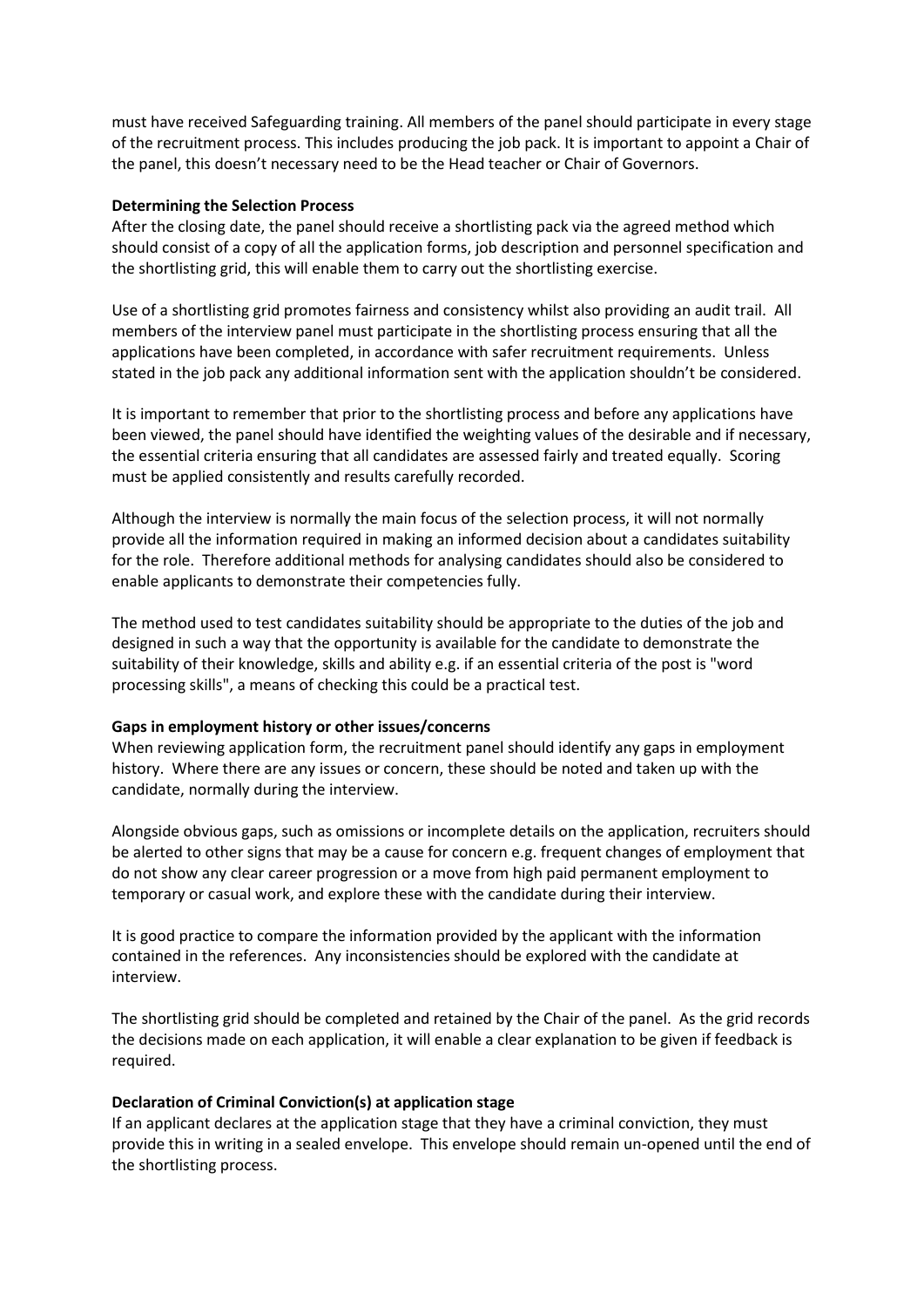must have received Safeguarding training. All members of the panel should participate in every stage of the recruitment process. This includes producing the job pack. It is important to appoint a Chair of the panel, this doesn't necessary need to be the Head teacher or Chair of Governors.

#### **Determining the Selection Process**

After the closing date, the panel should receive a shortlisting pack via the agreed method which should consist of a copy of all the application forms, job description and personnel specification and the shortlisting grid, this will enable them to carry out the shortlisting exercise.

Use of a shortlisting grid promotes fairness and consistency whilst also providing an audit trail. All members of the interview panel must participate in the shortlisting process ensuring that all the applications have been completed, in accordance with safer recruitment requirements. Unless stated in the job pack any additional information sent with the application shouldn't be considered.

It is important to remember that prior to the shortlisting process and before any applications have been viewed, the panel should have identified the weighting values of the desirable and if necessary, the essential criteria ensuring that all candidates are assessed fairly and treated equally. Scoring must be applied consistently and results carefully recorded.

Although the interview is normally the main focus of the selection process, it will not normally provide all the information required in making an informed decision about a candidates suitability for the role. Therefore additional methods for analysing candidates should also be considered to enable applicants to demonstrate their competencies fully.

The method used to test candidates suitability should be appropriate to the duties of the job and designed in such a way that the opportunity is available for the candidate to demonstrate the suitability of their knowledge, skills and ability e.g. if an essential criteria of the post is "word processing skills", a means of checking this could be a practical test.

#### **Gaps in employment history or other issues/concerns**

When reviewing application form, the recruitment panel should identify any gaps in employment history. Where there are any issues or concern, these should be noted and taken up with the candidate, normally during the interview.

Alongside obvious gaps, such as omissions or incomplete details on the application, recruiters should be alerted to other signs that may be a cause for concern e.g. frequent changes of employment that do not show any clear career progression or a move from high paid permanent employment to temporary or casual work, and explore these with the candidate during their interview.

It is good practice to compare the information provided by the applicant with the information contained in the references. Any inconsistencies should be explored with the candidate at interview.

The shortlisting grid should be completed and retained by the Chair of the panel. As the grid records the decisions made on each application, it will enable a clear explanation to be given if feedback is required.

#### **Declaration of Criminal Conviction(s) at application stage**

If an applicant declares at the application stage that they have a criminal conviction, they must provide this in writing in a sealed envelope. This envelope should remain un-opened until the end of the shortlisting process.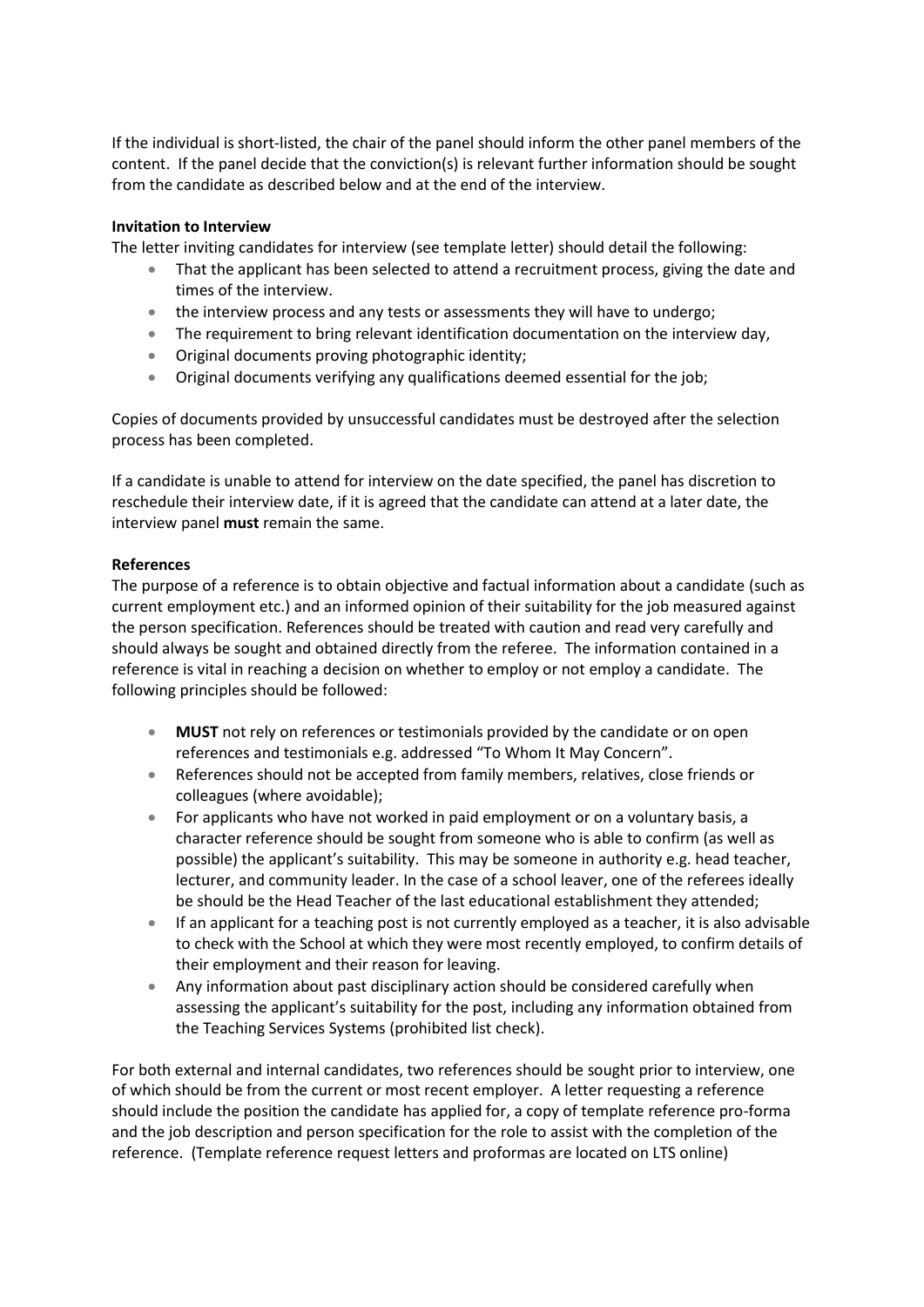If the individual is short-listed, the chair of the panel should inform the other panel members of the content. If the panel decide that the conviction(s) is relevant further information should be sought from the candidate as described below and at the end of the interview.

#### **Invitation to Interview**

The letter inviting candidates for interview (see template letter) should detail the following:

- That the applicant has been selected to attend a recruitment process, giving the date and times of the interview.
- the interview process and any tests or assessments they will have to undergo;
- The requirement to bring relevant identification documentation on the interview day,
- Original documents proving photographic identity;
- Original documents verifying any qualifications deemed essential for the job;

Copies of documents provided by unsuccessful candidates must be destroyed after the selection process has been completed.

If a candidate is unable to attend for interview on the date specified, the panel has discretion to reschedule their interview date, if it is agreed that the candidate can attend at a later date, the interview panel **must** remain the same.

#### **References**

The purpose of a reference is to obtain objective and factual information about a candidate (such as current employment etc.) and an informed opinion of their suitability for the job measured against the person specification. References should be treated with caution and read very carefully and should always be sought and obtained directly from the referee. The information contained in a reference is vital in reaching a decision on whether to employ or not employ a candidate. The following principles should be followed:

- **MUST** not rely on references or testimonials provided by the candidate or on open references and testimonials e.g. addressed "To Whom It May Concern".
- References should not be accepted from family members, relatives, close friends or colleagues (where avoidable);
- For applicants who have not worked in paid employment or on a voluntary basis, a character reference should be sought from someone who is able to confirm (as well as possible) the applicant's suitability. This may be someone in authority e.g. head teacher, lecturer, and community leader. In the case of a school leaver, one of the referees ideally be should be the Head Teacher of the last educational establishment they attended;
- If an applicant for a teaching post is not currently employed as a teacher, it is also advisable to check with the School at which they were most recently employed, to confirm details of their employment and their reason for leaving.
- Any information about past disciplinary action should be considered carefully when assessing the applicant's suitability for the post, including any information obtained from the Teaching Services Systems (prohibited list check).

For both external and internal candidates, two references should be sought prior to interview, one of which should be from the current or most recent employer. A letter requesting a reference should include the position the candidate has applied for, a copy of template reference pro-forma and the job description and person specification for the role to assist with the completion of the reference. (Template reference request letters and proformas are located on LTS online)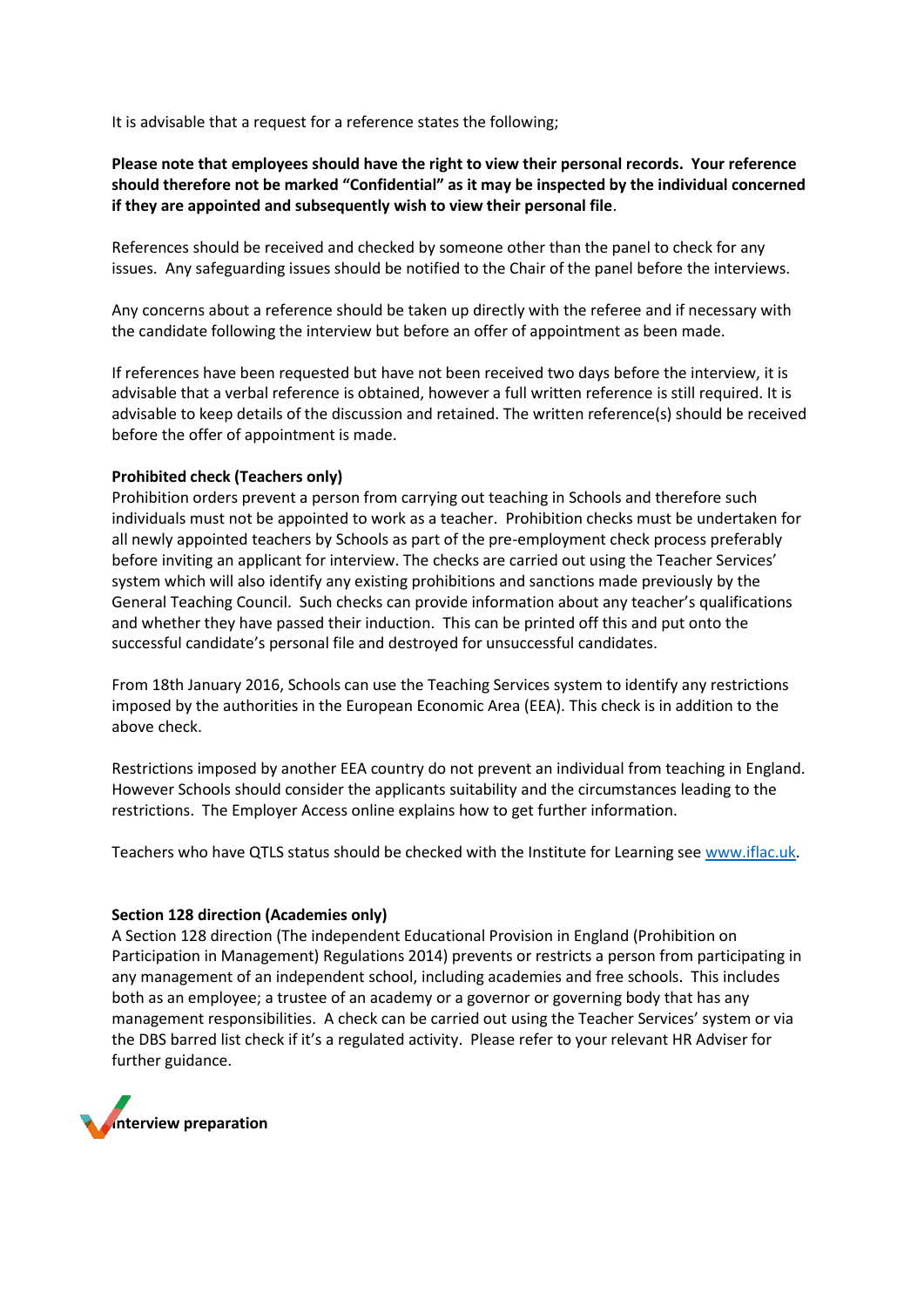It is advisable that a request for a reference states the following;

#### **Please note that employees should have the right to view their personal records. Your reference should therefore not be marked "Confidential" as it may be inspected by the individual concerned if they are appointed and subsequently wish to view their personal file**.

References should be received and checked by someone other than the panel to check for any issues. Any safeguarding issues should be notified to the Chair of the panel before the interviews.

Any concerns about a reference should be taken up directly with the referee and if necessary with the candidate following the interview but before an offer of appointment as been made.

If references have been requested but have not been received two days before the interview, it is advisable that a verbal reference is obtained, however a full written reference is still required. It is advisable to keep details of the discussion and retained. The written reference(s) should be received before the offer of appointment is made.

#### **Prohibited check (Teachers only)**

Prohibition orders prevent a person from carrying out teaching in Schools and therefore such individuals must not be appointed to work as a teacher. Prohibition checks must be undertaken for all newly appointed teachers by Schools as part of the pre-employment check process preferably before inviting an applicant for interview. The checks are carried out using the Teacher Services' system which will also identify any existing prohibitions and sanctions made previously by the General Teaching Council. Such checks can provide information about any teacher's qualifications and whether they have passed their induction. This can be printed off this and put onto the successful candidate's personal file and destroyed for unsuccessful candidates.

From 18th January 2016, Schools can use the Teaching Services system to identify any restrictions imposed by the authorities in the European Economic Area (EEA). This check is in addition to the above check.

Restrictions imposed by another EEA country do not prevent an individual from teaching in England. However Schools should consider the applicants suitability and the circumstances leading to the restrictions. The Employer Access online explains how to get further information.

Teachers who have QTLS status should be checked with the Institute for Learning se[e www.iflac.uk.](http://www.iflac.uk/)

#### **Section 128 direction (Academies only)**

A Section 128 direction (The independent Educational Provision in England (Prohibition on Participation in Management) Regulations 2014) prevents or restricts a person from participating in any management of an independent school, including academies and free schools. This includes both as an employee; a trustee of an academy or a governor or governing body that has any management responsibilities. A check can be carried out using the Teacher Services' system or via the DBS barred list check if it's a regulated activity. Please refer to your relevant HR Adviser for further guidance.

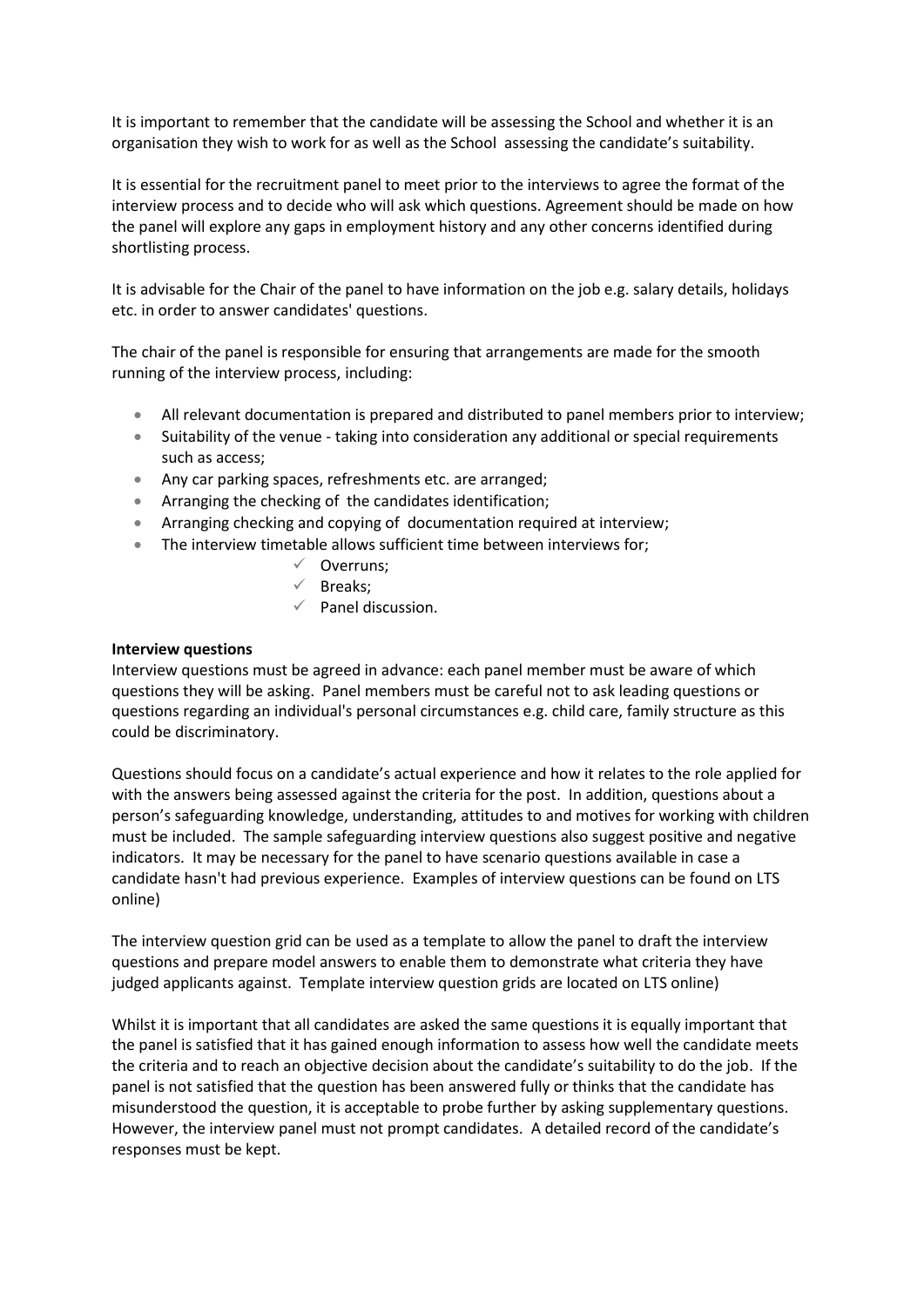It is important to remember that the candidate will be assessing the School and whether it is an organisation they wish to work for as well as the School assessing the candidate's suitability.

It is essential for the recruitment panel to meet prior to the interviews to agree the format of the interview process and to decide who will ask which questions. Agreement should be made on how the panel will explore any gaps in employment history and any other concerns identified during shortlisting process.

It is advisable for the Chair of the panel to have information on the job e.g. salary details, holidays etc. in order to answer candidates' questions.

The chair of the panel is responsible for ensuring that arrangements are made for the smooth running of the interview process, including:

- All relevant documentation is prepared and distributed to panel members prior to interview;
- Suitability of the venue taking into consideration any additional or special requirements such as access;
- Any car parking spaces, refreshments etc. are arranged;
- Arranging the checking of the candidates identification;
- Arranging checking and copying of documentation required at interview;
- The interview timetable allows sufficient time between interviews for;
	- ✓ Overruns;
	- $\checkmark$  Breaks;
	- $\checkmark$  Panel discussion.

#### **Interview questions**

Interview questions must be agreed in advance: each panel member must be aware of which questions they will be asking. Panel members must be careful not to ask leading questions or questions regarding an individual's personal circumstances e.g. child care, family structure as this could be discriminatory.

Questions should focus on a candidate's actual experience and how it relates to the role applied for with the answers being assessed against the criteria for the post. In addition, questions about a person's safeguarding knowledge, understanding, attitudes to and motives for working with children must be included. The sample safeguarding interview questions also suggest positive and negative indicators. It may be necessary for the panel to have scenario questions available in case a candidate hasn't had previous experience. Examples of interview questions can be found on LTS online)

The interview question grid can be used as a template to allow the panel to draft the interview questions and prepare model answers to enable them to demonstrate what criteria they have judged applicants against. Template interview question grids are located on LTS online)

Whilst it is important that all candidates are asked the same questions it is equally important that the panel is satisfied that it has gained enough information to assess how well the candidate meets the criteria and to reach an objective decision about the candidate's suitability to do the job. If the panel is not satisfied that the question has been answered fully or thinks that the candidate has misunderstood the question, it is acceptable to probe further by asking supplementary questions. However, the interview panel must not prompt candidates. A detailed record of the candidate's responses must be kept.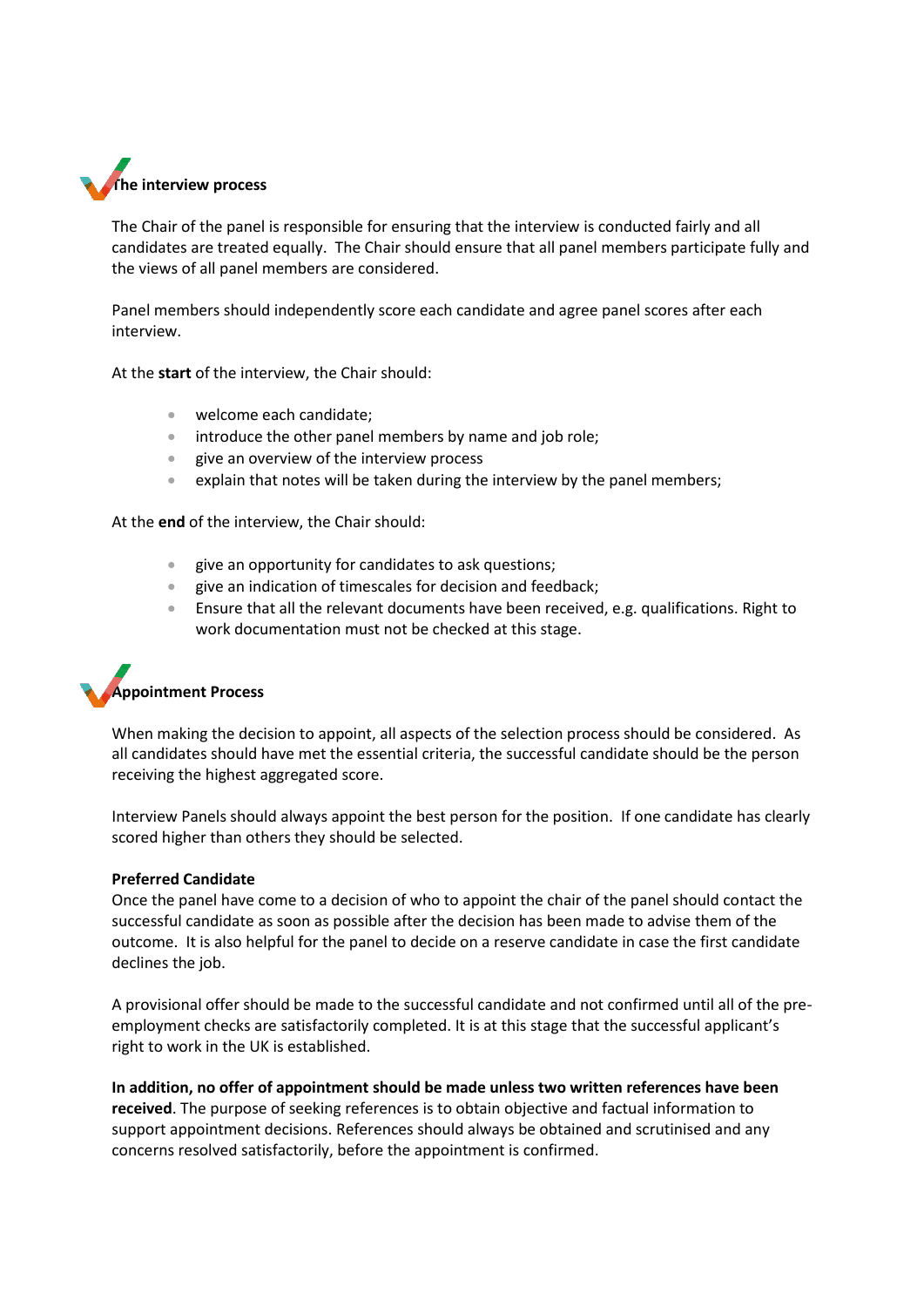

The Chair of the panel is responsible for ensuring that the interview is conducted fairly and all candidates are treated equally. The Chair should ensure that all panel members participate fully and the views of all panel members are considered.

Panel members should independently score each candidate and agree panel scores after each interview.

At the **start** of the interview, the Chair should:

- welcome each candidate:
- introduce the other panel members by name and job role;
- give an overview of the interview process
- explain that notes will be taken during the interview by the panel members;

At the **end** of the interview, the Chair should:

- give an opportunity for candidates to ask questions;
- give an indication of timescales for decision and feedback;
- Ensure that all the relevant documents have been received, e.g. qualifications. Right to work documentation must not be checked at this stage.

# **Appointment Process**

When making the decision to appoint, all aspects of the selection process should be considered. As all candidates should have met the essential criteria, the successful candidate should be the person receiving the highest aggregated score.

Interview Panels should always appoint the best person for the position. If one candidate has clearly scored higher than others they should be selected.

#### **Preferred Candidate**

Once the panel have come to a decision of who to appoint the chair of the panel should contact the successful candidate as soon as possible after the decision has been made to advise them of the outcome. It is also helpful for the panel to decide on a reserve candidate in case the first candidate declines the job.

A provisional offer should be made to the successful candidate and not confirmed until all of the preemployment checks are satisfactorily completed. It is at this stage that the successful applicant's right to work in the UK is established.

**In addition, no offer of appointment should be made unless two written references have been received**. The purpose of seeking references is to obtain objective and factual information to support appointment decisions. References should always be obtained and scrutinised and any concerns resolved satisfactorily, before the appointment is confirmed.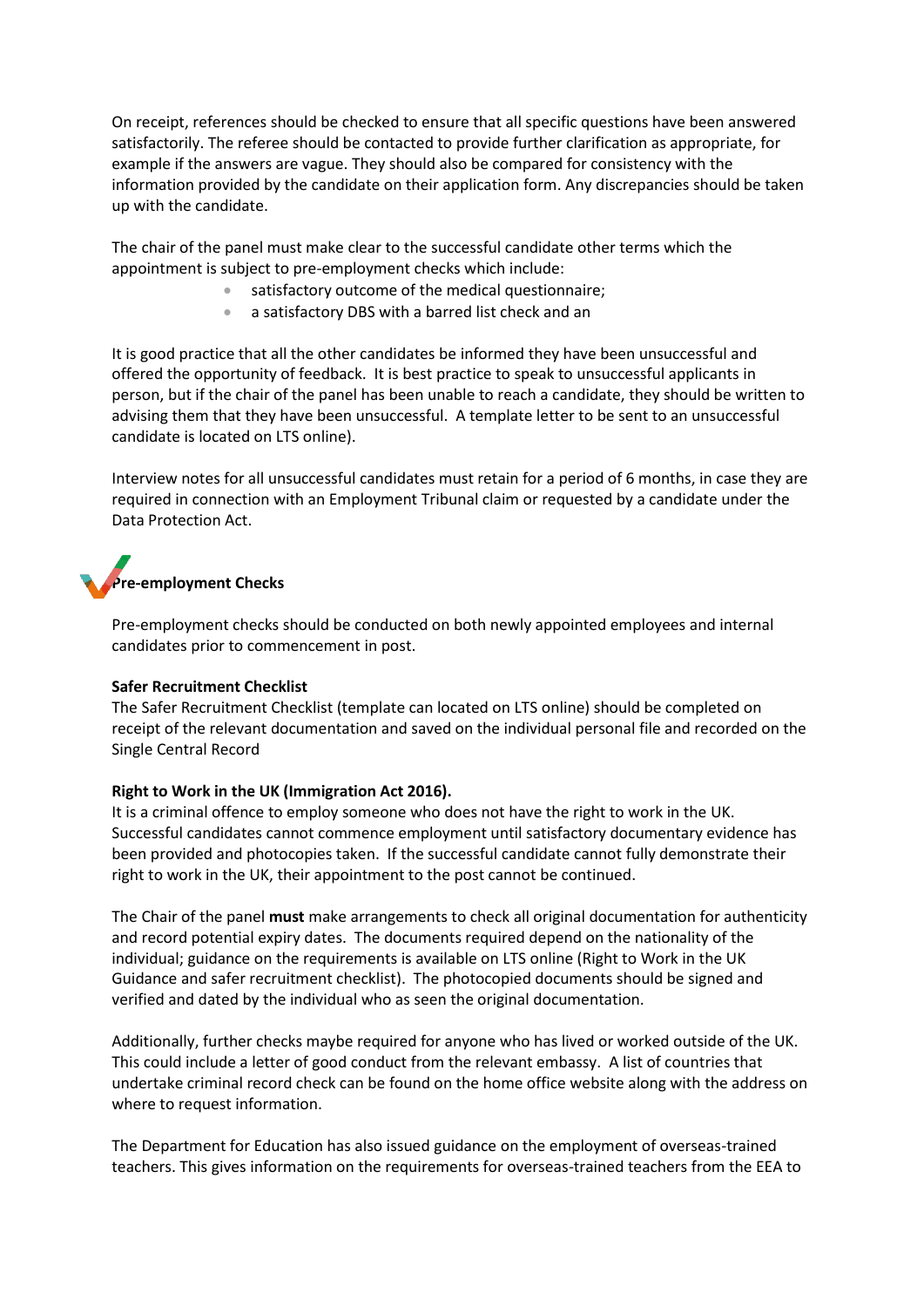On receipt, references should be checked to ensure that all specific questions have been answered satisfactorily. The referee should be contacted to provide further clarification as appropriate, for example if the answers are vague. They should also be compared for consistency with the information provided by the candidate on their application form. Any discrepancies should be taken up with the candidate.

The chair of the panel must make clear to the successful candidate other terms which the appointment is subject to pre-employment checks which include:

- satisfactory outcome of the medical questionnaire;
- a satisfactory DBS with a barred list check and an

It is good practice that all the other candidates be informed they have been unsuccessful and offered the opportunity of feedback. It is best practice to speak to unsuccessful applicants in person, but if the chair of the panel has been unable to reach a candidate, they should be written to advising them that they have been unsuccessful. A template letter to be sent to an unsuccessful candidate is located on LTS online).

Interview notes for all unsuccessful candidates must retain for a period of 6 months, in case they are required in connection with an Employment Tribunal claim or requested by a candidate under the Data Protection Act.

# **Pre-employment Checks**

Pre-employment checks should be conducted on both newly appointed employees and internal candidates prior to commencement in post.

#### **Safer Recruitment Checklist**

The Safer Recruitment Checklist (template can located on LTS online) should be completed on receipt of the relevant documentation and saved on the individual personal file and recorded on the Single Central Record

#### **Right to Work in the UK (Immigration Act 2016).**

It is a criminal offence to employ someone who does not have the right to work in the UK. Successful candidates cannot commence employment until satisfactory documentary evidence has been provided and photocopies taken. If the successful candidate cannot fully demonstrate their right to work in the UK, their appointment to the post cannot be continued.

The Chair of the panel **must** make arrangements to check all original documentation for authenticity and record potential expiry dates. The documents required depend on the nationality of the individual; guidance on the requirements is available on LTS online (Right to Work in the UK Guidance and safer recruitment checklist). The photocopied documents should be signed and verified and dated by the individual who as seen the original documentation.

Additionally, further checks maybe required for anyone who has lived or worked outside of the UK. This could include a letter of good conduct from the relevant embassy. A list of countries that undertake criminal record check can be found on the home office website along with the address on where to request information.

The Department for Education has also issued guidance on the employment of overseas-trained teachers. This gives information on the requirements for overseas-trained teachers from the EEA to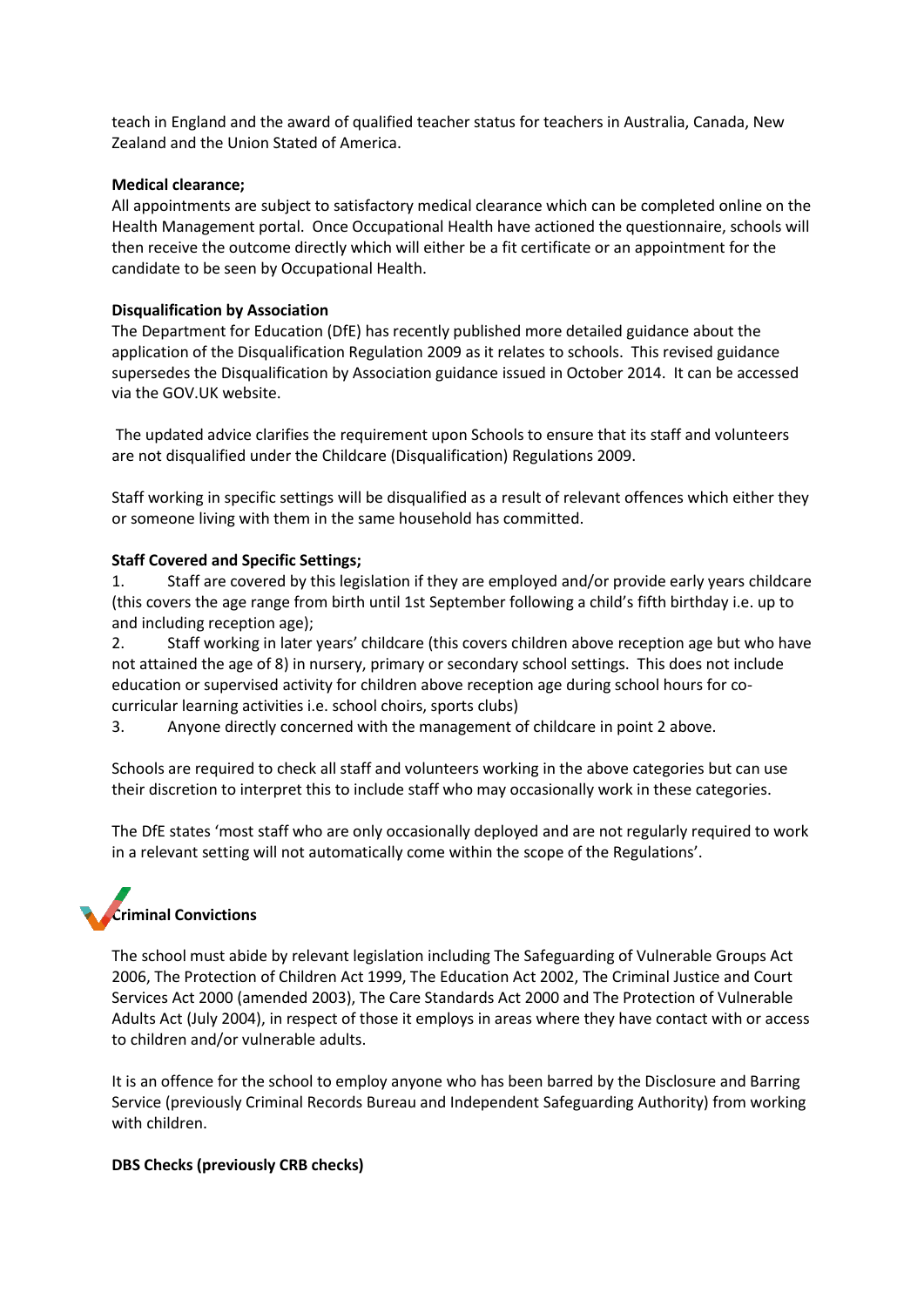teach in England and the award of qualified teacher status for teachers in Australia, Canada, New Zealand and the Union Stated of America.

#### **Medical clearance;**

All appointments are subject to satisfactory medical clearance which can be completed online on the Health Management portal. Once Occupational Health have actioned the questionnaire, schools will then receive the outcome directly which will either be a fit certificate or an appointment for the candidate to be seen by Occupational Health.

#### **Disqualification by Association**

The Department for Education (DfE) has recently published more detailed guidance about the application of the Disqualification Regulation 2009 as it relates to schools. This revised guidance supersedes the Disqualification by Association guidance issued in October 2014. It can be accessed via the GOV.UK website.

The updated advice clarifies the requirement upon Schools to ensure that its staff and volunteers are not disqualified under the Childcare (Disqualification) Regulations 2009.

Staff working in specific settings will be disqualified as a result of relevant offences which either they or someone living with them in the same household has committed.

#### **Staff Covered and Specific Settings;**

1. Staff are covered by this legislation if they are employed and/or provide early years childcare (this covers the age range from birth until 1st September following a child's fifth birthday i.e. up to and including reception age);

2. Staff working in later years' childcare (this covers children above reception age but who have not attained the age of 8) in nursery, primary or secondary school settings. This does not include education or supervised activity for children above reception age during school hours for cocurricular learning activities i.e. school choirs, sports clubs)

3. Anyone directly concerned with the management of childcare in point 2 above.

Schools are required to check all staff and volunteers working in the above categories but can use their discretion to interpret this to include staff who may occasionally work in these categories.

The DfE states 'most staff who are only occasionally deployed and are not regularly required to work in a relevant setting will not automatically come within the scope of the Regulations'.

## **Criminal Convictions**

The school must abide by relevant legislation including The Safeguarding of Vulnerable Groups Act 2006, The Protection of Children Act 1999, The Education Act 2002, The Criminal Justice and Court Services Act 2000 (amended 2003), The Care Standards Act 2000 and The Protection of Vulnerable Adults Act (July 2004), in respect of those it employs in areas where they have contact with or access to children and/or vulnerable adults.

It is an offence for the school to employ anyone who has been barred by the Disclosure and Barring Service (previously Criminal Records Bureau and Independent Safeguarding Authority) from working with children.

#### **DBS Checks (previously CRB checks)**